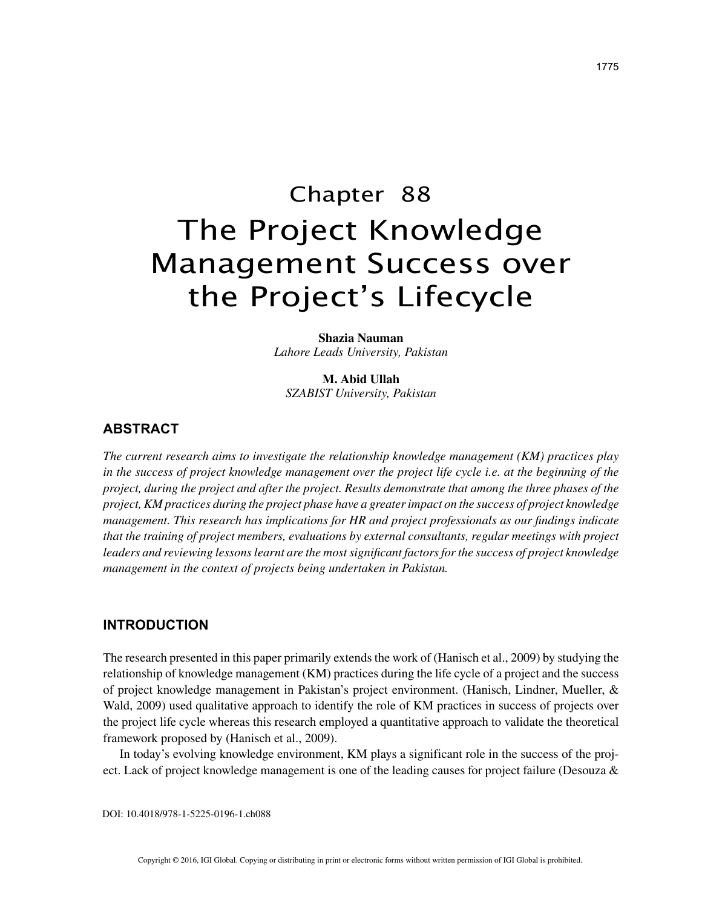# Chapter 88 The Project Knowledge Management Success over the Project's Lifecycle

**Shazia Nauman** *Lahore Leads University, Pakistan*

**M. Abid Ullah** *SZABIST University, Pakistan*

# **ABSTRACT**

*The current research aims to investigate the relationship knowledge management (KM) practices play in the success of project knowledge management over the project life cycle i.e. at the beginning of the project, during the project and after the project. Results demonstrate that among the three phases of the project, KM practices during the project phase have a greater impact on the success of project knowledge management. This research has implications for HR and project professionals as our findings indicate that the training of project members, evaluations by external consultants, regular meetings with project leaders and reviewing lessons learnt are the most significant factors for the success of project knowledge management in the context of projects being undertaken in Pakistan.*

## **INTRODUCTION**

The research presented in this paper primarily extends the work of (Hanisch et al., 2009) by studying the relationship of knowledge management (KM) practices during the life cycle of a project and the success of project knowledge management in Pakistan's project environment. (Hanisch, Lindner, Mueller, & Wald, 2009) used qualitative approach to identify the role of KM practices in success of projects over the project life cycle whereas this research employed a quantitative approach to validate the theoretical framework proposed by (Hanisch et al., 2009).

In today's evolving knowledge environment, KM plays a significant role in the success of the project. Lack of project knowledge management is one of the leading causes for project failure (Desouza &

DOI: 10.4018/978-1-5225-0196-1.ch088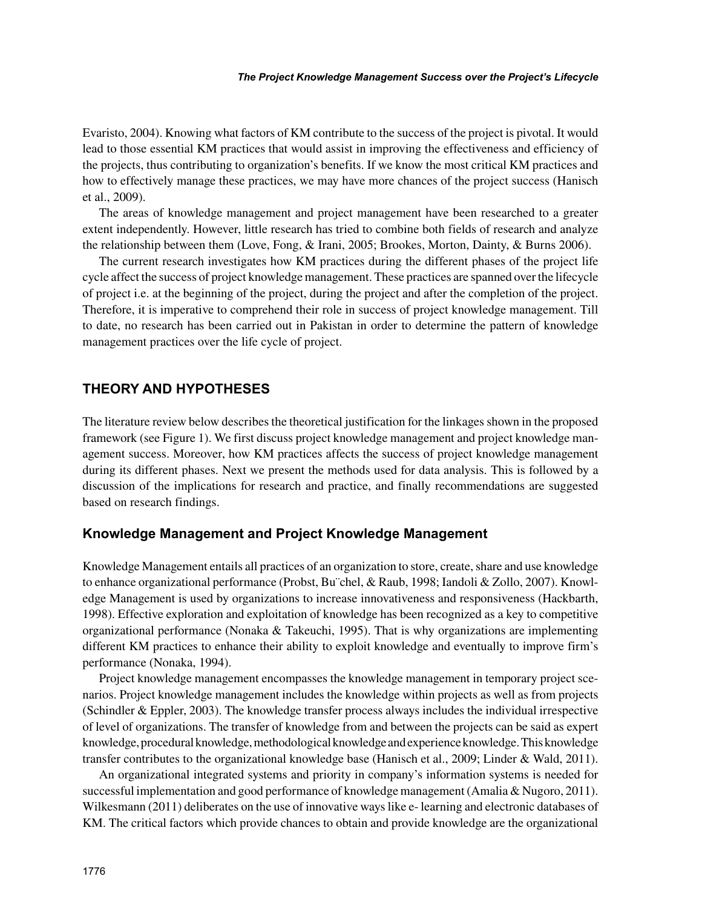Evaristo, 2004). Knowing what factors of KM contribute to the success of the project is pivotal. It would lead to those essential KM practices that would assist in improving the effectiveness and efficiency of the projects, thus contributing to organization's benefits. If we know the most critical KM practices and how to effectively manage these practices, we may have more chances of the project success (Hanisch et al., 2009).

The areas of knowledge management and project management have been researched to a greater extent independently. However, little research has tried to combine both fields of research and analyze the relationship between them (Love, Fong, & Irani, 2005; Brookes, Morton, Dainty, & Burns 2006).

The current research investigates how KM practices during the different phases of the project life cycle affect the success of project knowledge management. These practices are spanned over the lifecycle of project i.e. at the beginning of the project, during the project and after the completion of the project. Therefore, it is imperative to comprehend their role in success of project knowledge management. Till to date, no research has been carried out in Pakistan in order to determine the pattern of knowledge management practices over the life cycle of project.

#### **THEORY AND HYPOTHESES**

The literature review below describes the theoretical justification for the linkages shown in the proposed framework (see Figure 1). We first discuss project knowledge management and project knowledge management success. Moreover, how KM practices affects the success of project knowledge management during its different phases. Next we present the methods used for data analysis. This is followed by a discussion of the implications for research and practice, and finally recommendations are suggested based on research findings.

#### **Knowledge Management and Project Knowledge Management**

Knowledge Management entails all practices of an organization to store, create, share and use knowledge to enhance organizational performance (Probst, Bu¨chel, & Raub, 1998; Iandoli & Zollo, 2007). Knowledge Management is used by organizations to increase innovativeness and responsiveness (Hackbarth, 1998). Effective exploration and exploitation of knowledge has been recognized as a key to competitive organizational performance (Nonaka & Takeuchi, 1995). That is why organizations are implementing different KM practices to enhance their ability to exploit knowledge and eventually to improve firm's performance (Nonaka, 1994).

Project knowledge management encompasses the knowledge management in temporary project scenarios. Project knowledge management includes the knowledge within projects as well as from projects (Schindler & Eppler, 2003). The knowledge transfer process always includes the individual irrespective of level of organizations. The transfer of knowledge from and between the projects can be said as expert knowledge, procedural knowledge, methodological knowledge and experience knowledge. This knowledge transfer contributes to the organizational knowledge base (Hanisch et al., 2009; Linder & Wald, 2011).

An organizational integrated systems and priority in company's information systems is needed for successful implementation and good performance of knowledge management (Amalia & Nugoro, 2011). Wilkesmann (2011) deliberates on the use of innovative ways like e- learning and electronic databases of KM. The critical factors which provide chances to obtain and provide knowledge are the organizational